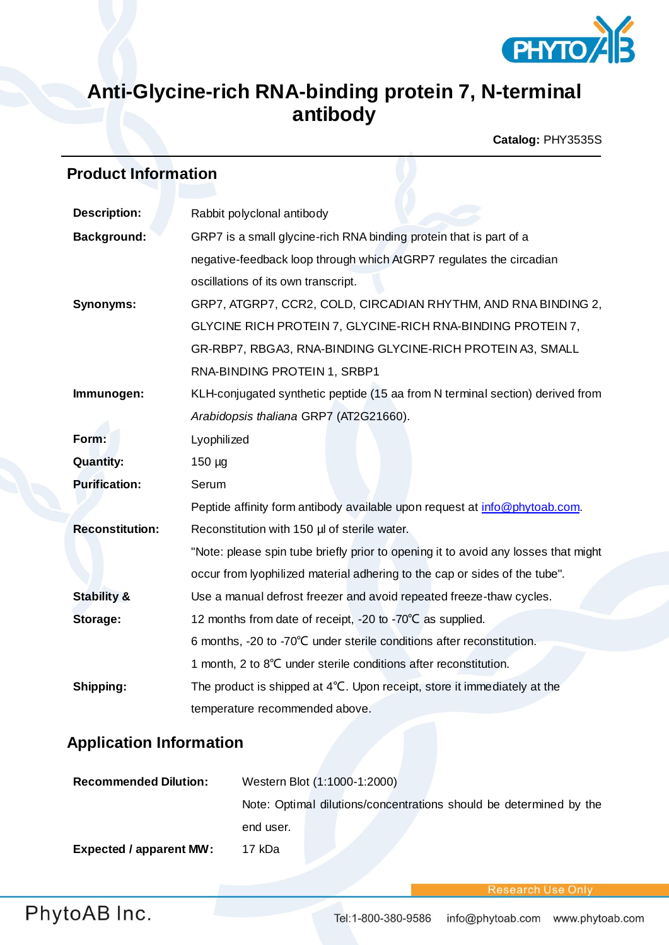

# **Anti-Glycine-rich RNA-binding protein 7, N-terminal antibody**

**Catalog:** PHY3535S

# **Product Information**

| <b>Description:</b>    | Rabbit polyclonal antibody                                                         |  |
|------------------------|------------------------------------------------------------------------------------|--|
| <b>Background:</b>     | GRP7 is a small glycine-rich RNA binding protein that is part of a                 |  |
|                        | negative-feedback loop through which AtGRP7 regulates the circadian                |  |
|                        | oscillations of its own transcript.                                                |  |
| <b>Synonyms:</b>       | GRP7, ATGRP7, CCR2, COLD, CIRCADIAN RHYTHM, AND RNA BINDING 2,                     |  |
|                        | GLYCINE RICH PROTEIN 7, GLYCINE-RICH RNA-BINDING PROTEIN 7,                        |  |
|                        | GR-RBP7, RBGA3, RNA-BINDING GLYCINE-RICH PROTEIN A3, SMALL                         |  |
|                        | RNA-BINDING PROTEIN 1, SRBP1                                                       |  |
| Immunogen:             | KLH-conjugated synthetic peptide (15 aa from N terminal section) derived from      |  |
|                        | Arabidopsis thaliana GRP7 (AT2G21660).                                             |  |
| Form:                  | Lyophilized                                                                        |  |
| <b>Quantity:</b>       | $150 \mu g$                                                                        |  |
| <b>Purification:</b>   | Serum                                                                              |  |
|                        | Peptide affinity form antibody available upon request at info@phytoab.com.         |  |
| <b>Reconstitution:</b> | Reconstitution with 150 µl of sterile water.                                       |  |
|                        | "Note: please spin tube briefly prior to opening it to avoid any losses that might |  |
|                        | occur from lyophilized material adhering to the cap or sides of the tube".         |  |
| <b>Stability &amp;</b> | Use a manual defrost freezer and avoid repeated freeze-thaw cycles.                |  |
| Storage:               | 12 months from date of receipt, -20 to -70°C as supplied.                          |  |
|                        | 6 months, -20 to -70°C under sterile conditions after reconstitution.              |  |
|                        | 1 month, 2 to 8°C under sterile conditions after reconstitution.                   |  |
| Shipping:              | The product is shipped at 4°C. Upon receipt, store it immediately at the           |  |
|                        | temperature recommended above.                                                     |  |

### **Application Information**

| <b>Recommended Dilution:</b>   | Western Blot (1:1000-1:2000)                                       |
|--------------------------------|--------------------------------------------------------------------|
|                                | Note: Optimal dilutions/concentrations should be determined by the |
|                                | end user.                                                          |
| <b>Expected / apparent MW:</b> | 17 kDa                                                             |

Research Use Only